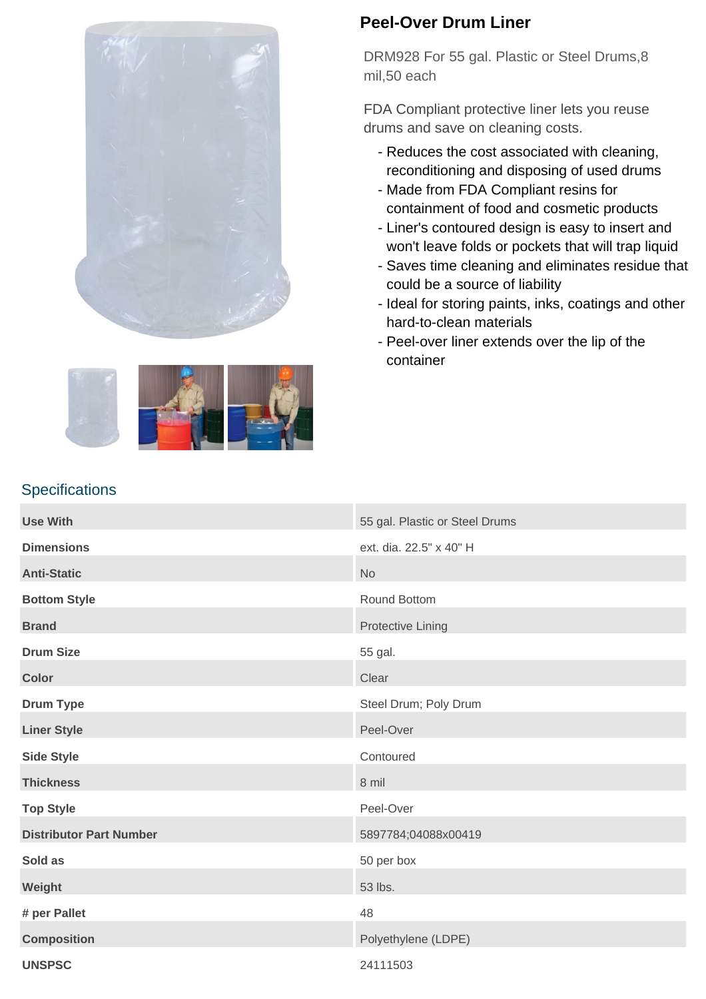



**Specifications** 

## **Peel-Over Drum Liner**

DRM928 For 55 gal. Plastic or Steel Drums,8 mil,50 each

FDA Compliant protective liner lets you reuse drums and save on cleaning costs.

- Reduces the cost associated with cleaning, reconditioning and disposing of used drums
- Made from FDA Compliant resins for containment of food and cosmetic products
- Liner's contoured design is easy to insert and won't leave folds or pockets that will trap liquid
- Saves time cleaning and eliminates residue that could be a source of liability
- Ideal for storing paints, inks, coatings and other hard-to-clean materials
- Peel-over liner extends over the lip of the container

| <b>Use With</b>                | 55 gal. Plastic or Steel Drums |
|--------------------------------|--------------------------------|
| <b>Dimensions</b>              | ext. dia. 22.5" x 40" H        |
| <b>Anti-Static</b>             | <b>No</b>                      |
| <b>Bottom Style</b>            | Round Bottom                   |
| <b>Brand</b>                   | <b>Protective Lining</b>       |
| <b>Drum Size</b>               | 55 gal.                        |
| <b>Color</b>                   | Clear                          |
| <b>Drum Type</b>               | Steel Drum; Poly Drum          |
| <b>Liner Style</b>             | Peel-Over                      |
| <b>Side Style</b>              | Contoured                      |
| <b>Thickness</b>               | 8 mil                          |
| <b>Top Style</b>               | Peel-Over                      |
| <b>Distributor Part Number</b> | 5897784;04088x00419            |
| Sold as                        | 50 per box                     |
| Weight                         | 53 lbs.                        |
| # per Pallet                   | 48                             |
| <b>Composition</b>             | Polyethylene (LDPE)            |
| <b>UNSPSC</b>                  | 24111503                       |